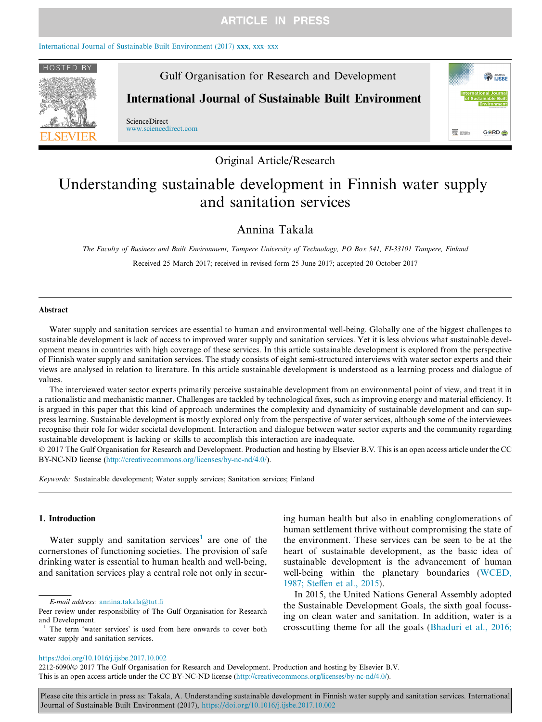# **ARTICLE IN PRESS**

# [International Journal of Sustainable Built Environment \(2017\)](https://doi.org/10.1016/j.ijsbe.2017.10.002) xxx, xxx–[xxx](https://doi.org/10.1016/j.ijsbe.2017.10.002)



Original Article/Research

# Understanding sustainable development in Finnish water supply and sanitation services

# Annina Takala

The Faculty of Business and Built Environment, Tampere University of Technology, PO Box 541, FI-33101 Tampere, Finland

Received 25 March 2017; received in revised form 25 June 2017; accepted 20 October 2017

#### Abstract

Water supply and sanitation services are essential to human and environmental well-being. Globally one of the biggest challenges to sustainable development is lack of access to improved water supply and sanitation services. Yet it is less obvious what sustainable development means in countries with high coverage of these services. In this article sustainable development is explored from the perspective of Finnish water supply and sanitation services. The study consists of eight semi-structured interviews with water sector experts and their views are analysed in relation to literature. In this article sustainable development is understood as a learning process and dialogue of values.

The interviewed water sector experts primarily perceive sustainable development from an environmental point of view, and treat it in a rationalistic and mechanistic manner. Challenges are tackled by technological fixes, such as improving energy and material efficiency. It is argued in this paper that this kind of approach undermines the complexity and dynamicity of sustainable development and can suppress learning. Sustainable development is mostly explored only from the perspective of water services, although some of the interviewees recognise their role for wider societal development. Interaction and dialogue between water sector experts and the community regarding sustainable development is lacking or skills to accomplish this interaction are inadequate.

 2017 The Gulf Organisation for Research and Development. Production and hosting by Elsevier B.V. This is an open access article under the CC BY-NC-ND license (<http://creativecommons.org/licenses/by-nc-nd/4.0/>).

Keywords: Sustainable development; Water supply services; Sanitation services; Finland

# 1. Introduction

Water supply and sanitation services<sup>1</sup> are one of the cornerstones of functioning societies. The provision of safe drinking water is essential to human health and well-being, and sanitation services play a central role not only in secur-

E-mail address: [annina.takala@tut.fi](mailto:annina.takala@tut.fi)

ing human health but also in enabling conglomerations of human settlement thrive without compromising the state of the environment. These services can be seen to be at the heart of sustainable development, as the basic idea of sustainable development is the advancement of human well-being within the planetary boundaries ([WCED,](#page-11-0) [1987; Steffen et al., 2015\)](#page-11-0).

In 2015, the United Nations General Assembly adopted the Sustainable Development Goals, the sixth goal focussing on clean water and sanitation. In addition, water is a crosscutting theme for all the goals ([Bhaduri et al., 2016;](#page-10-0)

Peer review under responsibility of The Gulf Organisation for Research and Development.

The term 'water services' is used from here onwards to cover both water supply and sanitation services.

<https://doi.org/10.1016/j.ijsbe.2017.10.002>

<sup>2212-6090/© 2017</sup> The Gulf Organisation for Research and Development. Production and hosting by Elsevier B.V. This is an open access article under the CC BY-NC-ND license (<http://creativecommons.org/licenses/by-nc-nd/4.0/>).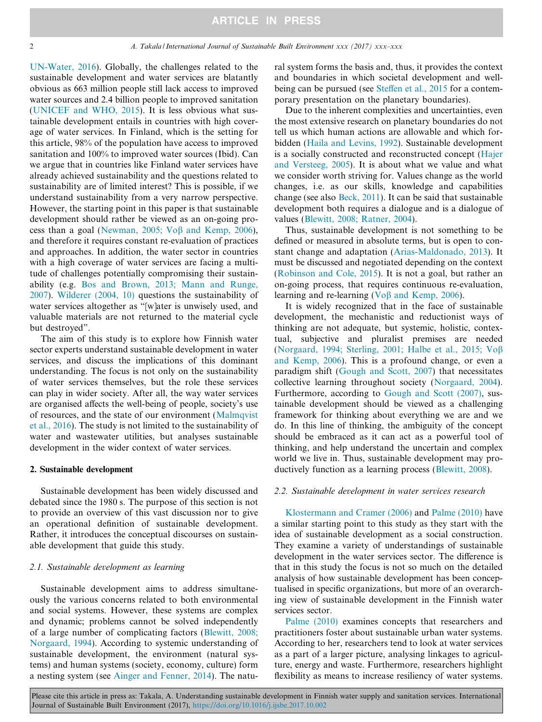[UN-Water, 2016\)](#page-10-0). Globally, the challenges related to the sustainable development and water services are blatantly obvious as 663 million people still lack access to improved water sources and 2.4 billion people to improved sanitation [\(UNICEF and WHO, 2015\)](#page-11-0). It is less obvious what sustainable development entails in countries with high coverage of water services. In Finland, which is the setting for this article, 98% of the population have access to improved sanitation and 100% to improved water sources (Ibid). Can we argue that in countries like Finland water services have already achieved sustainability and the questions related to sustainability are of limited interest? This is possible, if we understand sustainability from a very narrow perspective. However, the starting point in this paper is that sustainable development should rather be viewed as an on-going pro-cess than a goal ([Newman, 2005; Vo](#page-11-0) $\beta$  and Kemp, 2006), and therefore it requires constant re-evaluation of practices and approaches. In addition, the water sector in countries with a high coverage of water services are facing a multitude of challenges potentially compromising their sustainability (e.g. [Bos and Brown, 2013; Mann and Runge,](#page-10-0) [2007\)](#page-10-0). [Wilderer \(2004, 10\)](#page-11-0) questions the sustainability of water services altogether as "[w]ater is unwisely used, and valuable materials are not returned to the material cycle but destroyed".

The aim of this study is to explore how Finnish water sector experts understand sustainable development in water services, and discuss the implications of this dominant understanding. The focus is not only on the sustainability of water services themselves, but the role these services can play in wider society. After all, the way water services are organised affects the well-being of people, society's use of resources, and the state of our environment ([Malmqvist](#page-11-0) [et al., 2016](#page-11-0)). The study is not limited to the sustainability of water and wastewater utilities, but analyses sustainable development in the wider context of water services.

#### 2. Sustainable development

Sustainable development has been widely discussed and debated since the 1980 s. The purpose of this section is not to provide an overview of this vast discussion nor to give an operational definition of sustainable development. Rather, it introduces the conceptual discourses on sustainable development that guide this study.

# 2.1. Sustainable development as learning

Sustainable development aims to address simultaneously the various concerns related to both environmental and social systems. However, these systems are complex and dynamic; problems cannot be solved independently of a large number of complicating factors [\(Blewitt, 2008;](#page-10-0) [Norgaard, 1994\)](#page-10-0). According to systemic understanding of sustainable development, the environment (natural systems) and human systems (society, economy, culture) form a nesting system (see [Ainger and Fenner, 2014](#page-10-0)). The natural system forms the basis and, thus, it provides the context and boundaries in which societal development and wellbeing can be pursued (see [Steffen et al., 2015](#page-11-0) for a contemporary presentation on the planetary boundaries).

Due to the inherent complexities and uncertainties, even the most extensive research on planetary boundaries do not tell us which human actions are allowable and which forbidden [\(Haila and Levins, 1992](#page-10-0)). Sustainable development is a socially constructed and reconstructed concept ([Hajer](#page-10-0) [and Versteeg, 2005\)](#page-10-0). It is about what we value and what we consider worth striving for. Values change as the world changes, i.e. as our skills, knowledge and capabilities change (see also [Beck, 2011](#page-10-0)). It can be said that sustainable development both requires a dialogue and is a dialogue of values ([Blewitt, 2008; Ratner, 2004\)](#page-10-0).

Thus, sustainable development is not something to be defined or measured in absolute terms, but is open to constant change and adaptation ([Arias-Maldonado, 2013\)](#page-10-0). It must be discussed and negotiated depending on the context [\(Robinson and Cole, 2015](#page-11-0)). It is not a goal, but rather an on-going process, that requires continuous re-evaluation, learning and re-learning ( $V \circ \beta$  [and Kemp, 2006\)](#page-11-0).

It is widely recognized that in the face of sustainable development, the mechanistic and reductionist ways of thinking are not adequate, but systemic, holistic, contextual, subjective and pluralist premises are needed (Norgaard, 1994; Sterling, 2001; Halbe et al., 2015;  $V \circ \beta$ [and Kemp, 2006](#page-11-0)). This is a profound change, or even a paradigm shift ([Gough and Scott, 2007](#page-10-0)) that necessitates collective learning throughout society [\(Norgaard, 2004\)](#page-11-0). Furthermore, according to [Gough and Scott \(2007\)](#page-10-0), sustainable development should be viewed as a challenging framework for thinking about everything we are and we do. In this line of thinking, the ambiguity of the concept should be embraced as it can act as a powerful tool of thinking, and help understand the uncertain and complex world we live in. Thus, sustainable development may productively function as a learning process ([Blewitt, 2008](#page-10-0)).

# 2.2. Sustainable development in water services research

[Klostermann and Cramer \(2006\)](#page-11-0) and [Palme \(2010\)](#page-11-0) have a similar starting point to this study as they start with the idea of sustainable development as a social construction. They examine a variety of understandings of sustainable development in the water services sector. The difference is that in this study the focus is not so much on the detailed analysis of how sustainable development has been conceptualised in specific organizations, but more of an overarching view of sustainable development in the Finnish water services sector.

[Palme \(2010\)](#page-11-0) examines concepts that researchers and practitioners foster about sustainable urban water systems. According to her, researchers tend to look at water services as a part of a larger picture, analysing linkages to agriculture, energy and waste. Furthermore, researchers highlight flexibility as means to increase resiliency of water systems.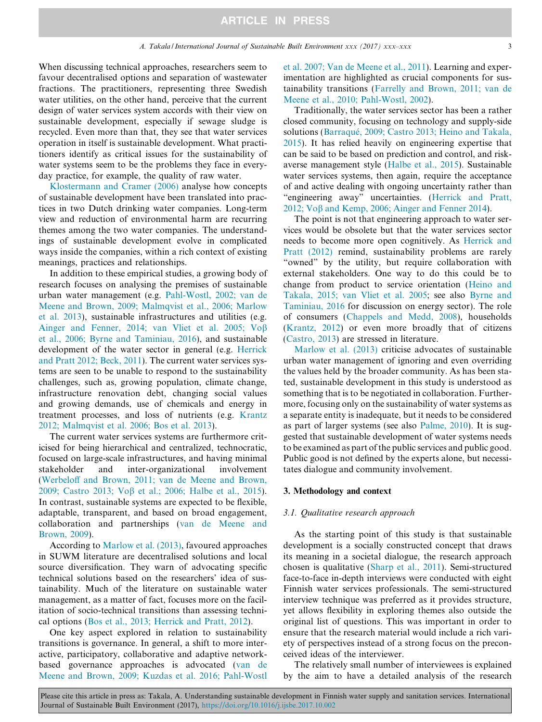When discussing technical approaches, researchers seem to favour decentralised options and separation of wastewater fractions. The practitioners, representing three Swedish water utilities, on the other hand, perceive that the current design of water services system accords with their view on sustainable development, especially if sewage sludge is recycled. Even more than that, they see that water services operation in itself is sustainable development. What practitioners identify as critical issues for the sustainability of water systems seem to be the problems they face in everyday practice, for example, the quality of raw water.

[Klostermann and Cramer \(2006\)](#page-11-0) analyse how concepts of sustainable development have been translated into practices in two Dutch drinking water companies. Long-term view and reduction of environmental harm are recurring themes among the two water companies. The understandings of sustainable development evolve in complicated ways inside the companies, within a rich context of existing meanings, practices and relationships.

In addition to these empirical studies, a growing body of research focuses on analysing the premises of sustainable urban water management (e.g. [Pahl-Wostl, 2002; van de](#page-11-0) [Meene and Brown, 2009; Malmqvist et al., 2006; Marlow](#page-11-0) [et al. 2013\)](#page-11-0), sustainable infrastructures and utilities (e.g. [Ainger and Fenner, 2014; van Vliet et al. 2005; Vo](#page-10-0)ß [et al., 2006; Byrne and Taminiau, 2016](#page-10-0)), and sustainable development of the water sector in general (e.g. [Herrick](#page-10-0) [and Pratt 2012; Beck, 2011](#page-10-0)). The current water services systems are seen to be unable to respond to the sustainability challenges, such as, growing population, climate change, infrastructure renovation debt, changing social values and growing demands, use of chemicals and energy in treatment processes, and loss of nutrients (e.g. [Krantz](#page-11-0) [2012; Malmqvist et al. 2006; Bos et al. 2013\)](#page-11-0).

The current water services systems are furthermore criticised for being hierarchical and centralized, technocratic, focused on large-scale infrastructures, and having minimal stakeholder and inter-organizational involvement ([Werbeloff and Brown, 2011; van de Meene and Brown,](#page-11-0) 2009; Castro 2013; Vob [et al.; 2006; Halbe et al., 2015\)](#page-11-0). In contrast, sustainable systems are expected to be flexible, adaptable, transparent, and based on broad engagement, collaboration and partnerships ([van de Meene and](#page-11-0) [Brown, 2009](#page-11-0)).

According to [Marlow et al. \(2013\)](#page-11-0), favoured approaches in SUWM literature are decentralised solutions and local source diversification. They warn of advocating specific technical solutions based on the researchers' idea of sustainability. Much of the literature on sustainable water management, as a matter of fact, focuses more on the facilitation of socio-technical transitions than assessing technical options [\(Bos et al., 2013; Herrick and Pratt, 2012](#page-10-0)).

One key aspect explored in relation to sustainability transitions is governance. In general, a shift to more interactive, participatory, collaborative and adaptive networkbased governance approaches is advocated ([van de](#page-11-0) [Meene and Brown, 2009; Kuzdas et al. 2016; Pahl-Wostl](#page-11-0) [et al. 2007; Van de Meene et al., 2011](#page-11-0)). Learning and experimentation are highlighted as crucial components for sustainability transitions ([Farrelly and Brown, 2011; van de](#page-10-0) [Meene et al., 2010; Pahl-Wostl, 2002\)](#page-10-0).

Traditionally, the water services sector has been a rather closed community, focusing on technology and supply-side solutions (Barraqué, 2009; Castro 2013; Heino and Takala, [2015](#page-10-0)). It has relied heavily on engineering expertise that can be said to be based on prediction and control, and riskaverse management style [\(Halbe et al., 2015](#page-10-0)). Sustainable water services systems, then again, require the acceptance of and active dealing with ongoing uncertainty rather than "engineering away" uncertainties. ([Herrick and Pratt,](#page-10-0) 2012;  $V \circ \beta$  [and Kemp, 2006; Ainger and Fenner 2014](#page-10-0)).

The point is not that engineering approach to water services would be obsolete but that the water services sector needs to become more open cognitively. As [Herrick and](#page-10-0) [Pratt \(2012\)](#page-10-0) remind, sustainability problems are rarely "owned" by the utility, but require collaboration with external stakeholders. One way to do this could be to change from product to service orientation [\(Heino and](#page-10-0) [Takala, 2015; van Vliet et al. 2005;](#page-10-0) see also [Byrne and](#page-10-0) [Taminiau, 2016](#page-10-0) for discussion on energy sector). The role of consumers ([Chappels and Medd, 2008\)](#page-10-0), households ([Krantz, 2012](#page-11-0)) or even more broadly that of citizens ([Castro, 2013\)](#page-10-0) are stressed in literature.

[Marlow et al. \(2013\)](#page-11-0) criticise advocates of sustainable urban water management of ignoring and even overriding the values held by the broader community. As has been stated, sustainable development in this study is understood as something that is to be negotiated in collaboration. Furthermore, focusing only on the sustainability of water systems as a separate entity is inadequate, but it needs to be considered as part of larger systems (see also [Palme, 2010](#page-11-0)). It is suggested that sustainable development of water systems needs to be examined as part of the public services and public good. Public good is not defined by the experts alone, but necessitates dialogue and community involvement.

## 3. Methodology and context

#### 3.1. Qualitative research approach

As the starting point of this study is that sustainable development is a socially constructed concept that draws its meaning in a societal dialogue, the research approach chosen is qualitative [\(Sharp et al., 2011](#page-11-0)). Semi-structured face-to-face in-depth interviews were conducted with eight Finnish water services professionals. The semi-structured interview technique was preferred as it provides structure, yet allows flexibility in exploring themes also outside the original list of questions. This was important in order to ensure that the research material would include a rich variety of perspectives instead of a strong focus on the preconceived ideas of the interviewer.

The relatively small number of interviewees is explained by the aim to have a detailed analysis of the research

Please cite this article in press as: Takala, A. Understanding sustainable development in Finnish water supply and sanitation services. International Journal of Sustainable Built Environment (2017), <https://doi.org/10.1016/j.ijsbe.2017.10.002>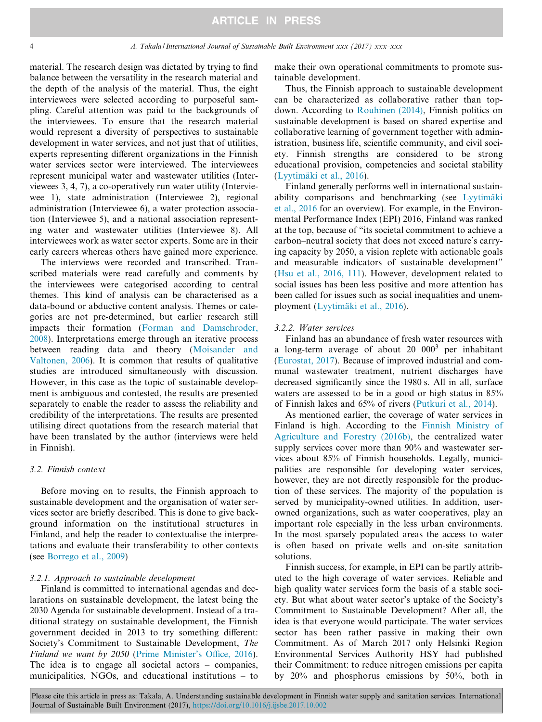material. The research design was dictated by trying to find balance between the versatility in the research material and the depth of the analysis of the material. Thus, the eight interviewees were selected according to purposeful sampling. Careful attention was paid to the backgrounds of the interviewees. To ensure that the research material would represent a diversity of perspectives to sustainable development in water services, and not just that of utilities, experts representing different organizations in the Finnish water services sector were interviewed. The interviewees represent municipal water and wastewater utilities (Interviewees 3, 4, 7), a co-operatively run water utility (Interviewee 1), state administration (Interviewee 2), regional administration (Interviewee 6), a water protection association (Interviewee 5), and a national association representing water and wastewater utilities (Interviewee 8). All interviewees work as water sector experts. Some are in their early careers whereas others have gained more experience.

The interviews were recorded and transcribed. Transcribed materials were read carefully and comments by the interviewees were categorised according to central themes. This kind of analysis can be characterised as a data-bound or abductive content analysis. Themes or categories are not pre-determined, but earlier research still impacts their formation ([Forman and Damschroder,](#page-10-0) [2008\)](#page-10-0). Interpretations emerge through an iterative process between reading data and theory [\(Moisander and](#page-11-0) [Valtonen, 2006\)](#page-11-0). It is common that results of qualitative studies are introduced simultaneously with discussion. However, in this case as the topic of sustainable development is ambiguous and contested, the results are presented separately to enable the reader to assess the reliability and credibility of the interpretations. The results are presented utilising direct quotations from the research material that have been translated by the author (interviews were held in Finnish).

## 3.2. Finnish context

Before moving on to results, the Finnish approach to sustainable development and the organisation of water services sector are briefly described. This is done to give background information on the institutional structures in Finland, and help the reader to contextualise the interpretations and evaluate their transferability to other contexts (see [Borrego et al., 2009](#page-10-0))

#### 3.2.1. Approach to sustainable development

Finland is committed to international agendas and declarations on sustainable development, the latest being the 2030 Agenda for sustainable development. Instead of a traditional strategy on sustainable development, the Finnish government decided in 2013 to try something different: Society's Commitment to Sustainable Development, The Finland we want by 2050 ([Prime Minister's Office, 2016\)](#page-11-0). The idea is to engage all societal actors – companies, municipalities, NGOs, and educational institutions – to

make their own operational commitments to promote sustainable development.

Thus, the Finnish approach to sustainable development can be characterized as collaborative rather than topdown. According to [Rouhinen \(2014\),](#page-11-0) Finnish politics on sustainable development is based on shared expertise and collaborative learning of government together with administration, business life, scientific community, and civil society. Finnish strengths are considered to be strong educational provision, competencies and societal stability (Lyytimäki et al., 2016).

Finland generally performs well in international sustainability comparisons and benchmarking (see Lyytimäki [et al., 2016](#page-11-0) for an overview). For example, in the Environmental Performance Index (EPI) 2016, Finland was ranked at the top, because of "its societal commitment to achieve a carbon–neutral society that does not exceed nature's carrying capacity by 2050, a vision replete with actionable goals and measurable indicators of sustainable development" [\(Hsu et al., 2016, 111](#page-11-0)). However, development related to social issues has been less positive and more attention has been called for issues such as social inequalities and unemployment (Lyytimäki et al., 2016).

#### 3.2.2. Water services

Finland has an abundance of fresh water resources with a long-term average of about 20  $000<sup>3</sup>$  per inhabitant [\(Eurostat, 2017\)](#page-10-0). Because of improved industrial and communal wastewater treatment, nutrient discharges have decreased significantly since the 1980 s. All in all, surface waters are assessed to be in a good or high status in 85% of Finnish lakes and 65% of rivers ([Putkuri et al., 2014\)](#page-11-0).

As mentioned earlier, the coverage of water services in Finland is high. According to the [Finnish Ministry of](#page-10-0) [Agriculture and Forestry \(2016b\)](#page-10-0), the centralized water supply services cover more than 90% and wastewater services about 85% of Finnish households. Legally, municipalities are responsible for developing water services, however, they are not directly responsible for the production of these services. The majority of the population is served by municipality-owned utilities. In addition, userowned organizations, such as water cooperatives, play an important role especially in the less urban environments. In the most sparsely populated areas the access to water is often based on private wells and on-site sanitation solutions.

Finnish success, for example, in EPI can be partly attributed to the high coverage of water services. Reliable and high quality water services form the basis of a stable society. But what about water sector's uptake of the Society's Commitment to Sustainable Development? After all, the idea is that everyone would participate. The water services sector has been rather passive in making their own Commitment. As of March 2017 only Helsinki Region Environmental Services Authority HSY had published their Commitment: to reduce nitrogen emissions per capita by 20% and phosphorus emissions by 50%, both in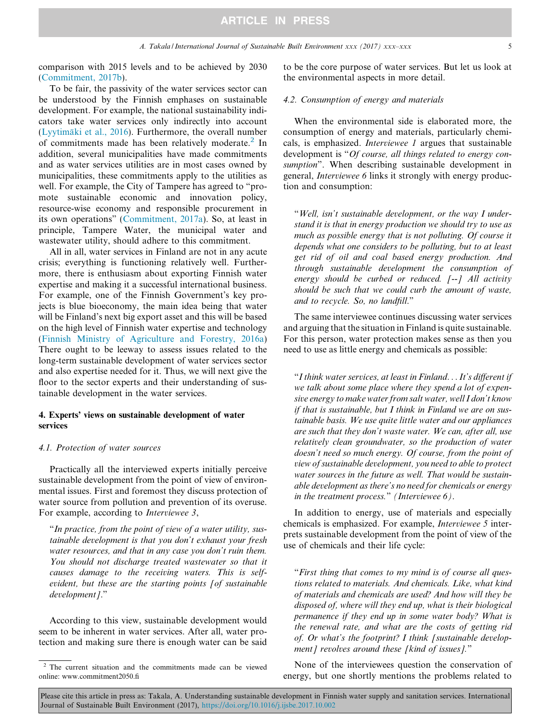comparison with 2015 levels and to be achieved by 2030 ([Commitment, 2017b\)](#page-10-0).

To be fair, the passivity of the water services sector can be understood by the Finnish emphases on sustainable development. For example, the national sustainability indicators take water services only indirectly into account (Lyytimäki et al., 2016). Furthermore, the overall number of commitments made has been relatively moderate.<sup>2</sup> In addition, several municipalities have made commitments and as water services utilities are in most cases owned by municipalities, these commitments apply to the utilities as well. For example, the City of Tampere has agreed to "promote sustainable economic and innovation policy, resource-wise economy and responsible procurement in its own operations" [\(Commitment, 2017a](#page-10-0)). So, at least in principle, Tampere Water, the municipal water and wastewater utility, should adhere to this commitment.

All in all, water services in Finland are not in any acute crisis; everything is functioning relatively well. Furthermore, there is enthusiasm about exporting Finnish water expertise and making it a successful international business. For example, one of the Finnish Government's key projects is blue bioeconomy, the main idea being that water will be Finland's next big export asset and this will be based on the high level of Finnish water expertise and technology ([Finnish Ministry of Agriculture and Forestry, 2016a](#page-10-0)) There ought to be leeway to assess issues related to the long-term sustainable development of water services sector and also expertise needed for it. Thus, we will next give the floor to the sector experts and their understanding of sustainable development in the water services.

# 4. Experts' views on sustainable development of water services

## 4.1. Protection of water sources

Practically all the interviewed experts initially perceive sustainable development from the point of view of environmental issues. First and foremost they discuss protection of water source from pollution and prevention of its overuse. For example, according to Interviewee 3,

"In practice, from the point of view of a water utility, sustainable development is that you don't exhaust your fresh water resources, and that in any case you don't ruin them. You should not discharge treated wastewater so that it causes damage to the receiving waters. This is selfevident, but these are the starting points [of sustainable development]."

According to this view, sustainable development would seem to be inherent in water services. After all, water protection and making sure there is enough water can be said to be the core purpose of water services. But let us look at the environmental aspects in more detail.

## 4.2. Consumption of energy and materials

When the environmental side is elaborated more, the consumption of energy and materials, particularly chemicals, is emphasized. Interviewee 1 argues that sustainable development is "Of course, all things related to energy consumption". When describing sustainable development in general, Interviewee 6 links it strongly with energy production and consumption:

"Well, isn't sustainable development, or the way  $I$  understand it is that in energy production we should try to use as much as possible energy that is not polluting. Of course it depends what one considers to be polluting, but to at least get rid of oil and coal based energy production. And through sustainable development the consumption of energy should be curbed or reduced.  $[-1]$  All activity should be such that we could curb the amount of waste, and to recycle. So, no landfill."

The same interviewee continues discussing water services and arguing that the situation in Finland is quite sustainable. For this person, water protection makes sense as then you need to use as little energy and chemicals as possible:

"I think water services, at least in Finland... It's different if we talk about some place where they spend a lot of expensive energy to make water from salt water, well I don't know if that is sustainable, but I think in Finland we are on sustainable basis. We use quite little water and our appliances are such that they don't waste water. We can, after all, use relatively clean groundwater, so the production of water doesn't need so much energy. Of course, from the point of view of sustainable development, you need to able to protect water sources in the future as well. That would be sustainable development as there's no need for chemicals or energy in the treatment process." (Interviewee  $6$ ).

In addition to energy, use of materials and especially chemicals is emphasized. For example, Interviewee 5 interprets sustainable development from the point of view of the use of chemicals and their life cycle:

"First thing that comes to my mind is of course all questions related to materials. And chemicals. Like, what kind of materials and chemicals are used? And how will they be disposed of, where will they end up, what is their biological permanence if they end up in some water body? What is the renewal rate, and what are the costs of getting rid of. Or what's the footprint? I think [sustainable development] revolves around these [kind of issues]."

None of the interviewees question the conservation of energy, but one shortly mentions the problems related to

<sup>2</sup> The current situation and the commitments made can be viewed online: www.commitment2050.fi

Please cite this article in press as: Takala, A. Understanding sustainable development in Finnish water supply and sanitation services. International Journal of Sustainable Built Environment (2017), <https://doi.org/10.1016/j.ijsbe.2017.10.002>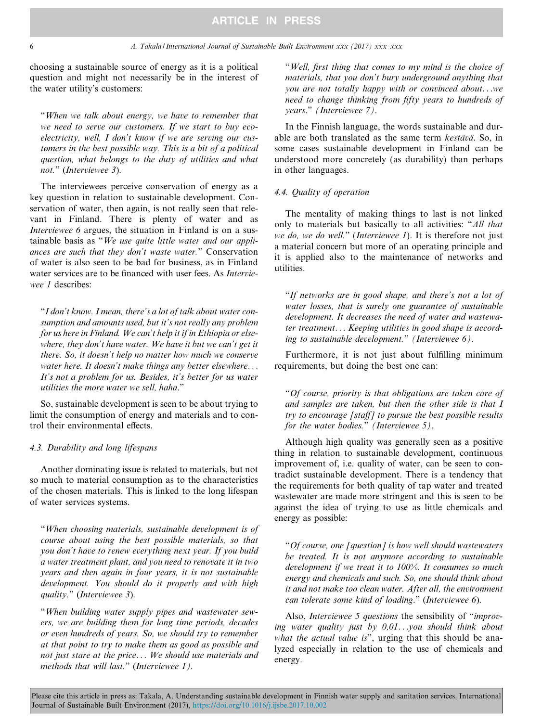# **ARTICLE IN PRESS**

choosing a sustainable source of energy as it is a political question and might not necessarily be in the interest of the water utility's customers:

"When we talk about energy, we have to remember that we need to serve our customers. If we start to buy ecoelectricity, well, I don't know if we are serving our customers in the best possible way. This is a bit of a political question, what belongs to the duty of utilities and what not." (Interviewee 3).

The interviewees perceive conservation of energy as a key question in relation to sustainable development. Conservation of water, then again, is not really seen that relevant in Finland. There is plenty of water and as Interviewee 6 argues, the situation in Finland is on a sustainable basis as "We use quite little water and our appliances are such that they don't waste water." Conservation of water is also seen to be bad for business, as in Finland water services are to be financed with user fees. As *Intervie*wee 1 describes:

"I don't know. I mean, there's a lot of talk about water consumption and amounts used, but it's not really any problem for us here in Finland. We can't help it if in Ethiopia or elsewhere, they don't have water. We have it but we can't get it there. So, it doesn't help no matter how much we conserve water here. It doesn't make things any better elsewhere... It's not a problem for us. Besides, it's better for us water utilities the more water we sell, haha."

So, sustainable development is seen to be about trying to limit the consumption of energy and materials and to control their environmental effects.

#### 4.3. Durability and long lifespans

Another dominating issue is related to materials, but not so much to material consumption as to the characteristics of the chosen materials. This is linked to the long lifespan of water services systems.

"When choosing materials, sustainable development is of course about using the best possible materials, so that you don't have to renew everything next year. If you build a water treatment plant, and you need to renovate it in two years and then again in four years, it is not sustainable development. You should do it properly and with high quality." (Interviewee 3).

"When building water supply pipes and wastewater sewers, we are building them for long time periods, decades or even hundreds of years. So, we should try to remember at that point to try to make them as good as possible and not just stare at the price... We should use materials and methods that will last." (Interviewee 1).

"Well, first thing that comes to my mind is the choice of materials, that you don't bury underground anything that you are not totally happy with or convinced about...we need to change thinking from fifty years to hundreds of years." (Interviewee 7).

In the Finnish language, the words sustainable and durable are both translated as the same term  $k$ estävä. So, in some cases sustainable development in Finland can be understood more concretely (as durability) than perhaps in other languages.

## 4.4. Quality of operation

The mentality of making things to last is not linked only to materials but basically to all activities: "All that we do, we do well." (Interviewee 1). It is therefore not just a material concern but more of an operating principle and it is applied also to the maintenance of networks and utilities.

"If networks are in good shape, and there's not a lot of water losses, that is surely one guarantee of sustainable development. It decreases the need of water and wastewater treatment... Keeping utilities in good shape is according to sustainable development." (Interviewee 6).

Furthermore, it is not just about fulfilling minimum requirements, but doing the best one can:

"Of course, priority is that obligations are taken care of and samples are taken, but then the other side is that I try to encourage [staff] to pursue the best possible results for the water bodies." (Interviewee 5).

Although high quality was generally seen as a positive thing in relation to sustainable development, continuous improvement of, i.e. quality of water, can be seen to contradict sustainable development. There is a tendency that the requirements for both quality of tap water and treated wastewater are made more stringent and this is seen to be against the idea of trying to use as little chemicals and energy as possible:

"Of course, one [question] is how well should wastewaters be treated. It is not anymore according to sustainable development if we treat it to 100%. It consumes so much energy and chemicals and such. So, one should think about it and not make too clean water. After all, the environment can tolerate some kind of loading." (Interviewee 6).

Also, Interviewee 5 questions the sensibility of "improving water quality just by 0,01...you should think about what the actual value is", urging that this should be analyzed especially in relation to the use of chemicals and energy.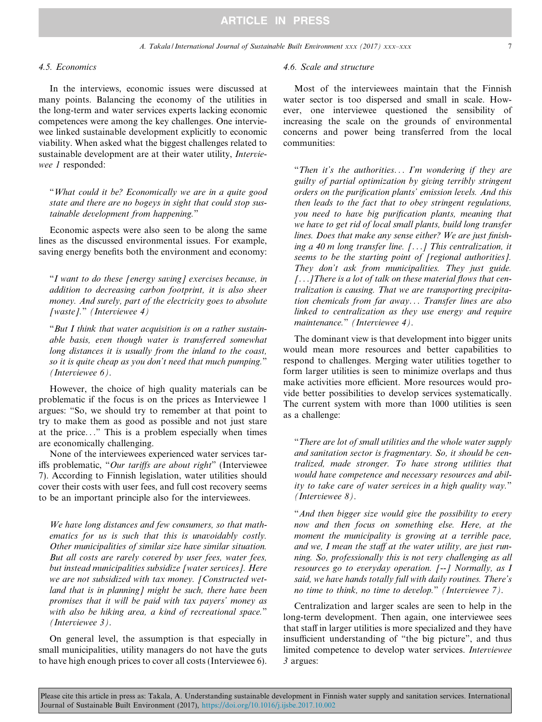## 4.5. Economics

In the interviews, economic issues were discussed at many points. Balancing the economy of the utilities in the long-term and water services experts lacking economic competences were among the key challenges. One interviewee linked sustainable development explicitly to economic viability. When asked what the biggest challenges related to sustainable development are at their water utility, Interviewee 1 responded:

"What could it be? Economically we are in a quite good state and there are no bogeys in sight that could stop sustainable development from happening."

Economic aspects were also seen to be along the same lines as the discussed environmental issues. For example, saving energy benefits both the environment and economy:

"I want to do these [energy saving] exercises because, in addition to decreasing carbon footprint, it is also sheer money. And surely, part of the electricity goes to absolute [waste]." (Interviewee 4)

"But I think that water acquisition is on a rather sustainable basis, even though water is transferred somewhat long distances it is usually from the inland to the coast, so it is quite cheap as you don't need that much pumping." (Interviewee 6).

However, the choice of high quality materials can be problematic if the focus is on the prices as Interviewee 1 argues: "So, we should try to remember at that point to try to make them as good as possible and not just stare at the price..." This is a problem especially when times are economically challenging.

None of the interviewees experienced water services tariffs problematic, "Our tariffs are about right" (Interviewee 7). According to Finnish legislation, water utilities should cover their costs with user fees, and full cost recovery seems to be an important principle also for the interviewees.

We have long distances and few consumers, so that mathematics for us is such that this is unavoidably costly. Other municipalities of similar size have similar situation. But all costs are rarely covered by user fees, water fees, but instead municipalities subsidize [water services]. Here we are not subsidized with tax money. [Constructed wetland that is in planning] might be such, there have been promises that it will be paid with tax payers' money as with also be hiking area, a kind of recreational space." (Interviewee 3).

On general level, the assumption is that especially in small municipalities, utility managers do not have the guts to have high enough prices to cover all costs (Interviewee 6).

# 4.6. Scale and structure

Most of the interviewees maintain that the Finnish water sector is too dispersed and small in scale. However, one interviewee questioned the sensibility of increasing the scale on the grounds of environmental concerns and power being transferred from the local communities:

"Then it's the authorities... I'm wondering if they are guilty of partial optimization by giving terribly stringent orders on the purification plants' emission levels. And this then leads to the fact that to obey stringent regulations, you need to have big purification plants, meaning that we have to get rid of local small plants, build long transfer lines. Does that make any sense either? We are just finishing a 40 m long transfer line. [...] This centralization, it seems to be the starting point of [regional authorities]. They don't ask from municipalities. They just guide. [...]There is a lot of talk on these material flows that centralization is causing. That we are transporting precipitation chemicals from far away... Transfer lines are also linked to centralization as they use energy and require maintenance." (Interviewee 4).

The dominant view is that development into bigger units would mean more resources and better capabilities to respond to challenges. Merging water utilities together to form larger utilities is seen to minimize overlaps and thus make activities more efficient. More resources would provide better possibilities to develop services systematically. The current system with more than 1000 utilities is seen as a challenge:

"There are lot of small utilities and the whole water supply and sanitation sector is fragmentary. So, it should be centralized, made stronger. To have strong utilities that would have competence and necessary resources and ability to take care of water services in a high quality way." (Interviewee 8).

"And then bigger size would give the possibility to every now and then focus on something else. Here, at the moment the municipality is growing at a terrible pace, and we, I mean the staff at the water utility, are just running. So, professionally this is not very challenging as all resources go to everyday operation. [--] Normally, as I said, we have hands totally full with daily routines. There's no time to think, no time to develop." (Interviewee 7).

Centralization and larger scales are seen to help in the long-term development. Then again, one interviewee sees that staff in larger utilities is more specialized and they have insufficient understanding of "the big picture", and thus limited competence to develop water services. Interviewee 3 argues: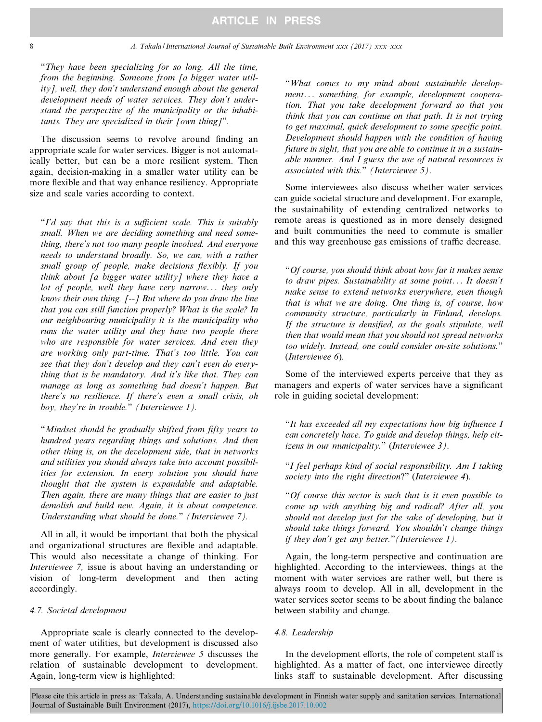"They have been specializing for so long. All the time, from the beginning. Someone from [a bigger water utility], well, they don't understand enough about the general development needs of water services. They don't understand the perspective of the municipality or the inhabitants. They are specialized in their [own thing]".

The discussion seems to revolve around finding an appropriate scale for water services. Bigger is not automatically better, but can be a more resilient system. Then again, decision-making in a smaller water utility can be more flexible and that way enhance resiliency. Appropriate size and scale varies according to context.

"I'd say that this is a sufficient scale. This is suitably small. When we are deciding something and need something, there's not too many people involved. And everyone needs to understand broadly. So, we can, with a rather small group of people, make decisions flexibly. If you think about  $[a]$  bigger water utility  $b$  where they have a lot of people, well they have very narrow... they only know their own thing. [--] But where do you draw the line that you can still function properly? What is the scale? In our neighbouring municipality it is the municipality who runs the water utility and they have two people there who are responsible for water services. And even they are working only part-time. That's too little. You can see that they don't develop and they can't even do everything that is be mandatory. And it's like that. They can manage as long as something bad doesn't happen. But there's no resilience. If there's even a small crisis, oh boy, they're in trouble." (Interviewee 1).

"Mindset should be gradually shifted from fifty years to hundred years regarding things and solutions. And then other thing is, on the development side, that in networks and utilities you should always take into account possibilities for extension. In every solution you should have thought that the system is expandable and adaptable. Then again, there are many things that are easier to just demolish and build new. Again, it is about competence. Understanding what should be done." (Interviewee 7).

All in all, it would be important that both the physical and organizational structures are flexible and adaptable. This would also necessitate a change of thinking. For Interviewee 7, issue is about having an understanding or vision of long-term development and then acting accordingly.

# 4.7. Societal development

Appropriate scale is clearly connected to the development of water utilities, but development is discussed also more generally. For example, Interviewee 5 discusses the relation of sustainable development to development. Again, long-term view is highlighted:

"What comes to my mind about sustainable development... something, for example, development cooperation. That you take development forward so that you think that you can continue on that path. It is not trying to get maximal, quick development to some specific point. Development should happen with the condition of having future in sight, that you are able to continue it in a sustainable manner. And I guess the use of natural resources is associated with this." (Interviewee  $\overline{5}$ ).

Some interviewees also discuss whether water services can guide societal structure and development. For example, the sustainability of extending centralized networks to remote areas is questioned as in more densely designed and built communities the need to commute is smaller and this way greenhouse gas emissions of traffic decrease.

"Of course, you should think about how far it makes sense to draw pipes. Sustainability at some point... It doesn't make sense to extend networks everywhere, even though that is what we are doing. One thing is, of course, how community structure, particularly in Finland, develops. If the structure is densified, as the goals stipulate, well then that would mean that you should not spread networks too widely. Instead, one could consider on-site solutions." (Interviewee 6).

Some of the interviewed experts perceive that they as managers and experts of water services have a significant role in guiding societal development:

"It has exceeded all my expectations how big influence I can concretely have. To guide and develop things, help citizens in our municipality." (Interviewee 3).

"I feel perhaps kind of social responsibility. Am I taking society into the right direction?" (Interviewee 4).

"Of course this sector is such that is it even possible to come up with anything big and radical? After all, you should not develop just for the sake of developing, but it should take things forward. You shouldn't change things if they don't get any better."(Interviewee 1).

Again, the long-term perspective and continuation are highlighted. According to the interviewees, things at the moment with water services are rather well, but there is always room to develop. All in all, development in the water services sector seems to be about finding the balance between stability and change.

#### 4.8. Leadership

In the development efforts, the role of competent staff is highlighted. As a matter of fact, one interviewee directly links staff to sustainable development. After discussing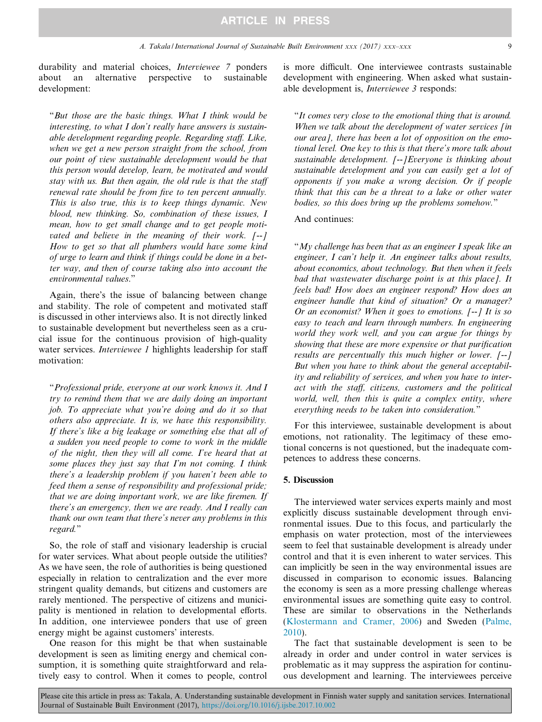durability and material choices, Interviewee 7 ponders about an alternative perspective to sustainable development:

"But those are the basic things. What I think would be interesting, to what I don't really have answers is sustainable development regarding people. Regarding staff. Like, when we get a new person straight from the school, from our point of view sustainable development would be that this person would develop, learn, be motivated and would stay with us. But then again, the old rule is that the staff renewal rate should be from five to ten percent annually. This is also true, this is to keep things dynamic. New blood, new thinking. So, combination of these issues, I mean, how to get small change and to get people motivated and believe in the meaning of their work.  $[-1]$ How to get so that all plumbers would have some kind of urge to learn and think if things could be done in a better way, and then of course taking also into account the environmental values."

Again, there's the issue of balancing between change and stability. The role of competent and motivated staff is discussed in other interviews also. It is not directly linked to sustainable development but nevertheless seen as a crucial issue for the continuous provision of high-quality water services. *Interviewee 1* highlights leadership for staff motivation:

"Professional pride, everyone at our work knows it. And I try to remind them that we are daily doing an important job. To appreciate what you're doing and do it so that others also appreciate. It is, we have this responsibility. If there's like a big leakage or something else that all of a sudden you need people to come to work in the middle of the night, then they will all come. I've heard that at some places they just say that I'm not coming. I think there's a leadership problem if you haven't been able to feed them a sense of responsibility and professional pride; that we are doing important work, we are like firemen. If there's an emergency, then we are ready. And I really can thank our own team that there's never any problems in this regard."

So, the role of staff and visionary leadership is crucial for water services. What about people outside the utilities? As we have seen, the role of authorities is being questioned especially in relation to centralization and the ever more stringent quality demands, but citizens and customers are rarely mentioned. The perspective of citizens and municipality is mentioned in relation to developmental efforts. In addition, one interviewee ponders that use of green energy might be against customers' interests.

One reason for this might be that when sustainable development is seen as limiting energy and chemical consumption, it is something quite straightforward and relatively easy to control. When it comes to people, control is more difficult. One interviewee contrasts sustainable development with engineering. When asked what sustainable development is, Interviewee 3 responds:

"It comes very close to the emotional thing that is around. When we talk about the development of water services [in our area], there has been a lot of opposition on the emotional level. One key to this is that there's more talk about sustainable development. [--]Everyone is thinking about sustainable development and you can easily get a lot of opponents if you make a wrong decision. Or if people think that this can be a threat to a lake or other water bodies, so this does bring up the problems somehow."

And continues:

"My challenge has been that as an engineer I speak like an engineer, I can't help it. An engineer talks about results, about economics, about technology. But then when it feels bad that wastewater discharge point is at this place]. It feels bad! How does an engineer respond? How does an engineer handle that kind of situation? Or a manager? Or an economist? When it goes to emotions.  $[-1]$  It is so easy to teach and learn through numbers. In engineering world they work well, and you can argue for things by showing that these are more expensive or that purification results are percentually this much higher or lower. [--] But when you have to think about the general acceptability and reliability of services, and when you have to interact with the staff, citizens, customers and the political world, well, then this is quite a complex entity, where everything needs to be taken into consideration."

For this interviewee, sustainable development is about emotions, not rationality. The legitimacy of these emotional concerns is not questioned, but the inadequate competences to address these concerns.

#### 5. Discussion

The interviewed water services experts mainly and most explicitly discuss sustainable development through environmental issues. Due to this focus, and particularly the emphasis on water protection, most of the interviewees seem to feel that sustainable development is already under control and that it is even inherent to water services. This can implicitly be seen in the way environmental issues are discussed in comparison to economic issues. Balancing the economy is seen as a more pressing challenge whereas environmental issues are something quite easy to control. These are similar to observations in the Netherlands ([Klostermann and Cramer, 2006](#page-11-0)) and Sweden ([Palme,](#page-11-0) [2010](#page-11-0)).

The fact that sustainable development is seen to be already in order and under control in water services is problematic as it may suppress the aspiration for continuous development and learning. The interviewees perceive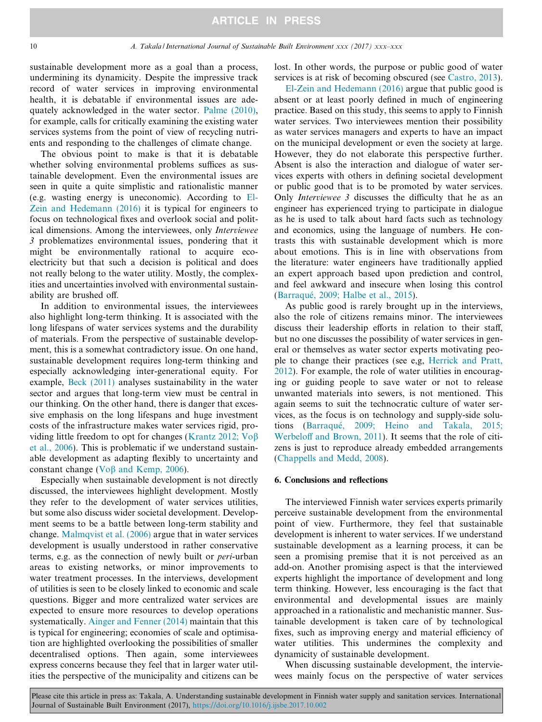sustainable development more as a goal than a process, undermining its dynamicity. Despite the impressive track record of water services in improving environmental health, it is debatable if environmental issues are adequately acknowledged in the water sector. [Palme \(2010\)](#page-11-0), for example, calls for critically examining the existing water services systems from the point of view of recycling nutrients and responding to the challenges of climate change.

The obvious point to make is that it is debatable whether solving environmental problems suffices as sustainable development. Even the environmental issues are seen in quite a quite simplistic and rationalistic manner (e.g. wasting energy is uneconomic). According to [El-](#page-10-0)[Zein and Hedemann \(2016\)](#page-10-0) it is typical for engineers to focus on technological fixes and overlook social and political dimensions. Among the interviewees, only Interviewee 3 problematizes environmental issues, pondering that it might be environmentally rational to acquire ecoelectricity but that such a decision is political and does not really belong to the water utility. Mostly, the complexities and uncertainties involved with environmental sustainability are brushed off.

In addition to environmental issues, the interviewees also highlight long-term thinking. It is associated with the long lifespans of water services systems and the durability of materials. From the perspective of sustainable development, this is a somewhat contradictory issue. On one hand, sustainable development requires long-term thinking and especially acknowledging inter-generational equity. For example, [Beck \(2011\)](#page-10-0) analyses sustainability in the water sector and argues that long-term view must be central in our thinking. On the other hand, there is danger that excessive emphasis on the long lifespans and huge investment costs of the infrastructure makes water services rigid, providing little freedom to opt for changes ([Krantz 2012; Vo](#page-11-0)b [et al., 2006\)](#page-11-0). This is problematic if we understand sustainable development as adapting flexibly to uncertainty and constant change ( $V \circ \beta$  [and Kemp, 2006\)](#page-11-0).

Especially when sustainable development is not directly discussed, the interviewees highlight development. Mostly they refer to the development of water services utilities, but some also discuss wider societal development. Development seems to be a battle between long-term stability and change. [Malmqvist et al. \(2006\)](#page-11-0) argue that in water services development is usually understood in rather conservative terms, e.g. as the connection of newly built or peri-urban areas to existing networks, or minor improvements to water treatment processes. In the interviews, development of utilities is seen to be closely linked to economic and scale questions. Bigger and more centralized water services are expected to ensure more resources to develop operations systematically. [Ainger and Fenner \(2014\)](#page-10-0) maintain that this is typical for engineering; economies of scale and optimisation are highlighted overlooking the possibilities of smaller decentralised options. Then again, some interviewees express concerns because they feel that in larger water utilities the perspective of the municipality and citizens can be

lost. In other words, the purpose or public good of water services is at risk of becoming obscured (see [Castro, 2013\)](#page-10-0).

[El-Zein and Hedemann \(2016\)](#page-10-0) argue that public good is absent or at least poorly defined in much of engineering practice. Based on this study, this seems to apply to Finnish water services. Two interviewees mention their possibility as water services managers and experts to have an impact on the municipal development or even the society at large. However, they do not elaborate this perspective further. Absent is also the interaction and dialogue of water services experts with others in defining societal development or public good that is to be promoted by water services. Only Interviewee 3 discusses the difficulty that he as an engineer has experienced trying to participate in dialogue as he is used to talk about hard facts such as technology and economics, using the language of numbers. He contrasts this with sustainable development which is more about emotions. This is in line with observations from the literature: water engineers have traditionally applied an expert approach based upon prediction and control, and feel awkward and insecure when losing this control (Barraqué, 2009; Halbe et al., 2015).

As public good is rarely brought up in the interviews, also the role of citizens remains minor. The interviewees discuss their leadership efforts in relation to their staff, but no one discusses the possibility of water services in general or themselves as water sector experts motivating people to change their practices (see e,g, [Herrick and Pratt,](#page-10-0) [2012\)](#page-10-0). For example, the role of water utilities in encouraging or guiding people to save water or not to release unwanted materials into sewers, is not mentioned. This again seems to suit the technocratic culture of water services, as the focus is on technology and supply-side solutions (Barraqué, 2009; Heino and Takala, 2015; [Werbeloff and Brown, 2011](#page-10-0)). It seems that the role of citizens is just to reproduce already embedded arrangements [\(Chappells and Medd, 2008](#page-10-0)).

#### 6. Conclusions and reflections

The interviewed Finnish water services experts primarily perceive sustainable development from the environmental point of view. Furthermore, they feel that sustainable development is inherent to water services. If we understand sustainable development as a learning process, it can be seen a promising premise that it is not perceived as an add-on. Another promising aspect is that the interviewed experts highlight the importance of development and long term thinking. However, less encouraging is the fact that environmental and developmental issues are mainly approached in a rationalistic and mechanistic manner. Sustainable development is taken care of by technological fixes, such as improving energy and material efficiency of water utilities. This undermines the complexity and dynamicity of sustainable development.

When discussing sustainable development, the interviewees mainly focus on the perspective of water services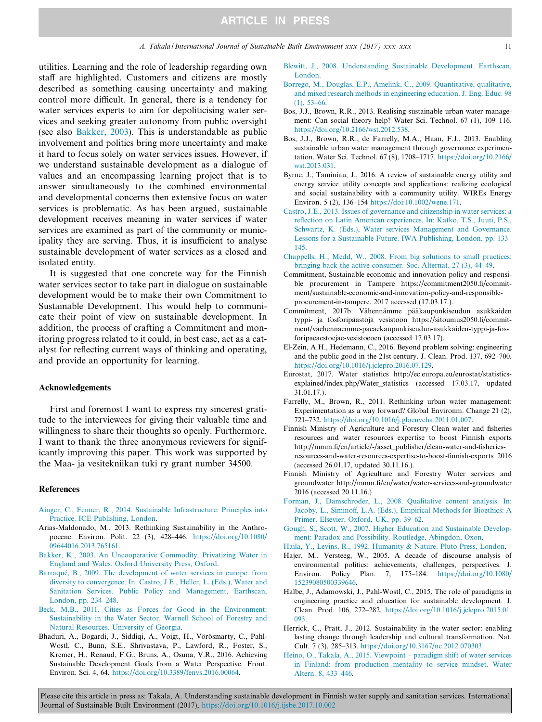<span id="page-10-0"></span>utilities. Learning and the role of leadership regarding own staff are highlighted. Customers and citizens are mostly described as something causing uncertainty and making control more difficult. In general, there is a tendency for water services experts to aim for depoliticising water services and seeking greater autonomy from public oversight (see also Bakker, 2003). This is understandable as public involvement and politics bring more uncertainty and make it hard to focus solely on water services issues. However, if we understand sustainable development as a dialogue of values and an encompassing learning project that is to answer simultaneously to the combined environmental and developmental concerns then extensive focus on water services is problematic. As has been argued, sustainable development receives meaning in water services if water services are examined as part of the community or municipality they are serving. Thus, it is insufficient to analyse sustainable development of water services as a closed and isolated entity.

It is suggested that one concrete way for the Finnish water services sector to take part in dialogue on sustainable development would be to make their own Commitment to Sustainable Development. This would help to communicate their point of view on sustainable development. In addition, the process of crafting a Commitment and monitoring progress related to it could, in best case, act as a catalyst for reflecting current ways of thinking and operating, and provide an opportunity for learning.

#### Acknowledgements

First and foremost I want to express my sincerest gratitude to the interviewees for giving their valuable time and willingness to share their thoughts so openly. Furthermore, I want to thank the three anonymous reviewers for significantly improving this paper. This work was supported by the Maa- ja vesitekniikan tuki ry grant number 34500.

#### References

- [Ainger, C., Fenner, R., 2014. Sustainable Infrastructure: Principles into](http://refhub.elsevier.com/S2212-6090(17)30067-5/h0005) [Practice. ICE Publishing, London.](http://refhub.elsevier.com/S2212-6090(17)30067-5/h0005)
- Arias-Maldonado, M., 2013. Rethinking Sustainability in the Anthropocene. Environ. Polit. 22 (3), 428–446. [https://doi.org/10.1080/](https://doi.org/10.1080/09644016.2013.765161) [09644016.2013.765161](https://doi.org/10.1080/09644016.2013.765161).
- [Bakker, K., 2003. An Uncooperative Commodity. Privatizing Water in](http://refhub.elsevier.com/S2212-6090(17)30067-5/h0015) [England and Wales. Oxford University Press, Oxford.](http://refhub.elsevier.com/S2212-6090(17)30067-5/h0015)
- Barraqué, B., 2009. The development of water services in europe: from [diversity to convergence. In: Castro, J.E., Heller, L. \(Eds.\), Water and](http://refhub.elsevier.com/S2212-6090(17)30067-5/h0020) [Sanitation Services. Public Policy and Management, Earthscan,](http://refhub.elsevier.com/S2212-6090(17)30067-5/h0020) [London, pp. 234–248.](http://refhub.elsevier.com/S2212-6090(17)30067-5/h0020)
- [Beck, M.B., 2011. Cities as Forces for Good in the Environment:](http://refhub.elsevier.com/S2212-6090(17)30067-5/h0025) [Sustainability in the Water Sector. Warnell School of Forestry and](http://refhub.elsevier.com/S2212-6090(17)30067-5/h0025) [Natural Resources. University of Georgia.](http://refhub.elsevier.com/S2212-6090(17)30067-5/h0025)
- Bhaduri, A., Bogardi, J., Siddiqi, A., Voigt, H., Vörösmarty, C., Pahl-Wostl, C., Bunn, S.E., Shrivastava, P., Lawford, R., Foster, S., Kremer, H., Renaud, F.G., Bruns, A., Osuna, V.R., 2016. Achieving Sustainable Development Goals from a Water Perspective. Front. Environ. Sci. 4, 64. <https://doi.org/10.3389/fenvs.2016.00064>.
- [Blewitt, J., 2008. Understanding Sustainable Development. Earthscan,](http://refhub.elsevier.com/S2212-6090(17)30067-5/h0035) [London.](http://refhub.elsevier.com/S2212-6090(17)30067-5/h0035)
- [Borrego, M., Douglas, E.P., Amelink, C., 2009. Quantitative, qualitative,](http://refhub.elsevier.com/S2212-6090(17)30067-5/h0040) [and mixed research methods in engineering education. J. Eng. Educ. 98](http://refhub.elsevier.com/S2212-6090(17)30067-5/h0040) [\(1\), 53–66](http://refhub.elsevier.com/S2212-6090(17)30067-5/h0040).
- Bos, J.J., Brown, R.R., 2013. Realising sustainable urban water management: Can social theory help? Water Sci. Technol. 67 (1), 109–116. <https://doi.org/10.2166/wst.2012.538>.
- Bos, J.J., Brown, R.R., de Farrelly, M.A., Haan, F.J., 2013. Enabling sustainable urban water management through governance experimentation. Water Sci. Technol. 67 (8), 1708–1717. [https://doi.org/10.2166/](https://doi.org/10.2166/wst.2013.031) [wst.2013.031](https://doi.org/10.2166/wst.2013.031).
- Byrne, J., Taminiau, J., 2016. A review of sustainable energy utility and energy service utility concepts and applications: realizing ecological and social sustainability with a community utility. WIREs Energy Environ. 5 (2), 136–154 <https://doi:10.1002/wene.171>.
- [Castro, J.E., 2013. Issues of governance and citizenship in water services: a](http://refhub.elsevier.com/S2212-6090(17)30067-5/h0060) [reflection on Latin American experiences. In: Katko, T.S., Juuti, P.S.,](http://refhub.elsevier.com/S2212-6090(17)30067-5/h0060) [Schwartz, K. \(Eds.\), Water services Management and Governance.](http://refhub.elsevier.com/S2212-6090(17)30067-5/h0060) [Lessons for a Sustainable Future. IWA Publishing, London, pp. 133–](http://refhub.elsevier.com/S2212-6090(17)30067-5/h0060) [145](http://refhub.elsevier.com/S2212-6090(17)30067-5/h0060).
- [Chappells, H., Medd, W., 2008. From big solutions to small practices:](http://refhub.elsevier.com/S2212-6090(17)30067-5/h0065) [bringing back the active consumer. Soc. Alternat. 27 \(3\), 44–49](http://refhub.elsevier.com/S2212-6090(17)30067-5/h0065).
- Commitment, Sustainable economic and innovation policy and responsible procurement in Tampere https://commitment2050.fi/commitment/sustainable-economic-and-innovation-policy-and-responsibleprocurement-in-tampere. 2017 accessed (17.03.17.).
- Commitment, 2017b. Vähennämme pääkaupunkiseudun asukkaiden typpi- ja fosforipäästöjä vesistöön https://sitoumus2050.fi/commitment/vaehennaemme-paeaekaupunkiseudun-asukkaiden-typpi-ja-fosforipaeaestoejae-vesistoeoen (accessed 17.03.17).
- El-Zein, A.H., Hedemann, C., 2016. Beyond problem solving: engineering and the public good in the 21st century. J. Clean. Prod. 137, 692–700. <https://doi.org/10.1016/j.jclepro.2016.07.129>.
- Eurostat, 2017. Water statistics http://ec.europa.eu/eurostat/statisticsexplained/index.php/Water\_statistics (accessed 17.03.17, updated 31.01.17.).
- Farrelly, M., Brown, R., 2011. Rethinking urban water management: Experimentation as a way forward? Global Environm. Change 21 (2), 721–732. <https://doi.org/10.1016/j.gloenvcha.2011.01.007>.
- Finnish Ministry of Agriculture and Forestry Clean water and fisheries resources and water resources expertise to boost Finnish exports http://mmm.fi/en/article/-/asset\_publisher/clean-water-and-fisheriesresources-and-water-resources-expertise-to-boost-finnish-exports 2016 (accessed 26.01.17, updated 30.11.16.).
- Finnish Ministry of Agriculture and Forestry Water services and groundwater http://mmm.fi/en/water/water-services-and-groundwater 2016 (accessed 20.11.16.)
- [Forman, J., Damschroder, L., 2008. Qualitative content analysis. In:](http://refhub.elsevier.com/S2212-6090(17)30067-5/h0105) [Jacoby, L., Siminoff, L.A. \(Eds.\), Empirical Methods for Bioethics: A](http://refhub.elsevier.com/S2212-6090(17)30067-5/h0105) [Primer. Elsevier, Oxford, UK, pp. 39–62.](http://refhub.elsevier.com/S2212-6090(17)30067-5/h0105)
- [Gough, S., Scott, W., 2007. Higher Education and Sustainable Develop](http://refhub.elsevier.com/S2212-6090(17)30067-5/h0110)[ment: Paradox and Possibility. Routledge, Abingdon, Oxon](http://refhub.elsevier.com/S2212-6090(17)30067-5/h0110).
- [Haila, Y., Levins, R., 1992. Humanity & Nature. Pluto Press, London.](http://refhub.elsevier.com/S2212-6090(17)30067-5/h0115)
- Hajer, M., Versteeg, W., 2005. A decade of discourse analysis of environmental politics: achievements, challenges, perspectives. J. Environ. Policy Plan. 7, 175–184. [https://doi.org/10.1080/](https://doi.org/10.1080/15239080500339646) [15239080500339646](https://doi.org/10.1080/15239080500339646).
- Halbe, J., Adamowski, J., Pahl-Wostl, C., 2015. The role of paradigms in engineering practice and education for sustainable development. J. Clean. Prod. 106, 272–282. [https://doi.org/10.1016/j.jclepro.2015.01.](https://doi.org/10.1016/j.jclepro.2015.01.093) [093](https://doi.org/10.1016/j.jclepro.2015.01.093).
- Herrick, C., Pratt, J., 2012. Sustainability in the water sector: enabling lasting change through leadership and cultural transformation. Nat. Cult. 7 (3), 285–313. [https://doi.org/10.3167/nc.2012.070303.](https://doi.org/10.3167/nc.2012.070303)
- [Heino, O., Takala, A., 2015. Viewpoint paradigm shift of water services](http://refhub.elsevier.com/S2212-6090(17)30067-5/h0135) [in Finland: from production mentality to service mindset. Water](http://refhub.elsevier.com/S2212-6090(17)30067-5/h0135) [Altern. 8, 433–446.](http://refhub.elsevier.com/S2212-6090(17)30067-5/h0135)